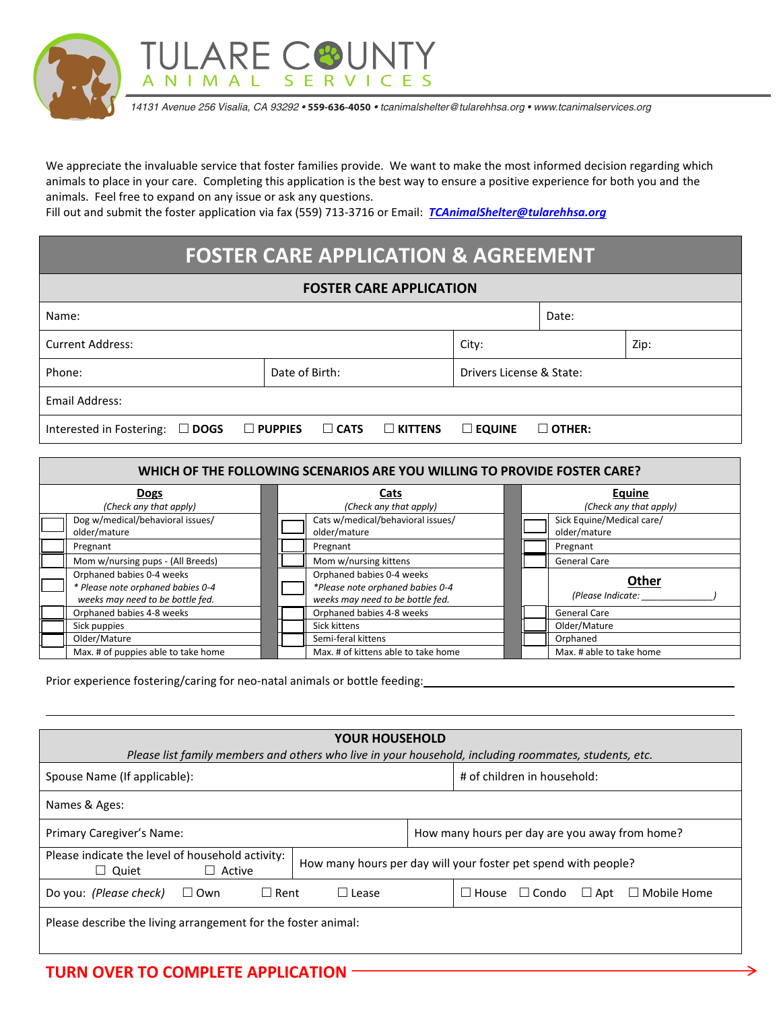

*14131 Avenue 256 Visalia, CA 93292 •* **559-636-4050** *• tcanimalshelter@tularehhsa.org • www.tcanimalservices.org*

We appreciate the invaluable service that foster families provide. We want to make the most informed decision regarding which animals to place in your care. Completing this application is the best way to ensure a positive experience for both you and the animals. Feel free to expand on any issue or ask any questions.

Fill out and submit the foster application via fax (559) 713-3716 or Email: *[TCAnimalShelter@tularehhsa.org](mailto:TCAnimalShelter@tularehhsa.org)*

## **FOSTER CARE APPLICATION & AGREEMENT**

| <b>FOSTER CARE APPLICATION</b> |                   |                          |       |               |  |  |  |  |  |
|--------------------------------|-------------------|--------------------------|-------|---------------|--|--|--|--|--|
|                                |                   |                          | Date: |               |  |  |  |  |  |
|                                |                   | City:                    |       | Zip:          |  |  |  |  |  |
| Date of Birth:                 |                   | Drivers License & State: |       |               |  |  |  |  |  |
|                                |                   |                          |       |               |  |  |  |  |  |
| $\square$ CATS                 | $\square$ KITTENS | $\square$ EQUINE         |       |               |  |  |  |  |  |
|                                | $\square$ PUPPIES |                          |       | $\Box$ OTHER: |  |  |  |  |  |

| WHICH OF THE FOLLOWING SCENARIOS ARE YOU WILLING TO PROVIDE FOSTER CARE? |                                     |                           |  |  |  |  |  |
|--------------------------------------------------------------------------|-------------------------------------|---------------------------|--|--|--|--|--|
| <b>Dogs</b>                                                              | Cats                                | Equine                    |  |  |  |  |  |
| (Check any that apply)                                                   | (Check any that apply)              | (Check any that apply)    |  |  |  |  |  |
| Dog w/medical/behavioral issues/                                         | Cats w/medical/behavioral issues/   | Sick Equine/Medical care/ |  |  |  |  |  |
| older/mature                                                             | older/mature                        | older/mature              |  |  |  |  |  |
| Pregnant                                                                 | Pregnant                            | Pregnant                  |  |  |  |  |  |
| Mom w/nursing pups - (All Breeds)                                        | Mom w/nursing kittens               | <b>General Care</b>       |  |  |  |  |  |
| Orphaned babies 0-4 weeks                                                | Orphaned babies 0-4 weeks           |                           |  |  |  |  |  |
| * Please note orphaned babies 0-4                                        | *Please note orphaned babies 0-4    | Other                     |  |  |  |  |  |
| weeks may need to be bottle fed.                                         | weeks may need to be bottle fed.    | (Please Indicate:         |  |  |  |  |  |
| Orphaned babies 4-8 weeks                                                | Orphaned babies 4-8 weeks           | <b>General Care</b>       |  |  |  |  |  |
| Sick puppies                                                             | Sick kittens                        | Older/Mature              |  |  |  |  |  |
| Older/Mature                                                             | Semi-feral kittens                  | Orphaned                  |  |  |  |  |  |
| Max. # of puppies able to take home                                      | Max. # of kittens able to take home | Max. # able to take home  |  |  |  |  |  |

Prior experience fostering/caring for neo-natal animals or bottle feeding:

| <b>YOUR HOUSEHOLD</b>                                                                                 |                                                                |  |  |  |  |  |  |
|-------------------------------------------------------------------------------------------------------|----------------------------------------------------------------|--|--|--|--|--|--|
| Please list family members and others who live in your household, including roommates, students, etc. |                                                                |  |  |  |  |  |  |
| Spouse Name (If applicable):                                                                          | # of children in household:                                    |  |  |  |  |  |  |
| Names & Ages:                                                                                         |                                                                |  |  |  |  |  |  |
| Primary Caregiver's Name:                                                                             | How many hours per day are you away from home?                 |  |  |  |  |  |  |
| Please indicate the level of household activity:<br>$\Box$ Active<br>$\Box$ Quiet                     | How many hours per day will your foster pet spend with people? |  |  |  |  |  |  |
| Do you: (Please check)<br>$\Box$ Own<br>$\Box$ Rent<br>$\Box$ Lease                                   | $\Box$ House $\Box$ Condo<br>$\Box$ Apt $\Box$ Mobile Home     |  |  |  |  |  |  |
| Please describe the living arrangement for the foster animal:                                         |                                                                |  |  |  |  |  |  |

## **TURN OVER TO COMPLETE APPLICATION**